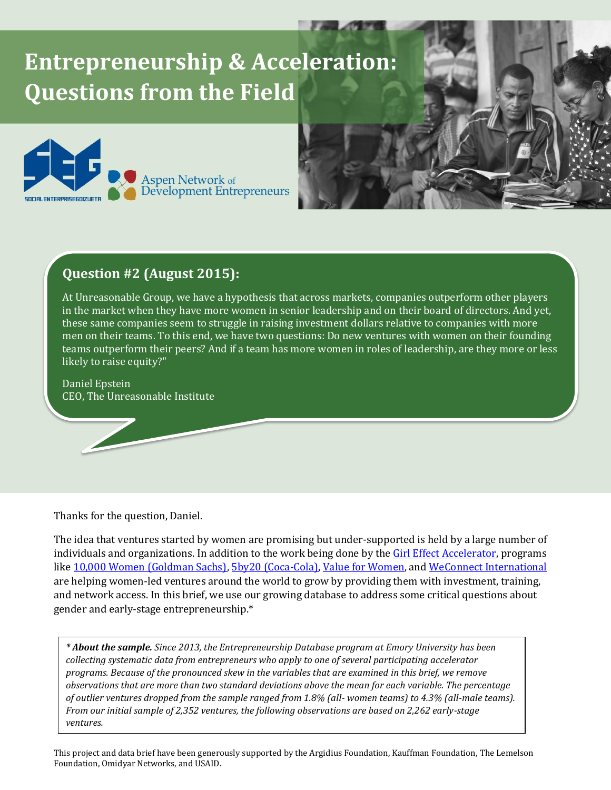## **Entrepreneurship & Acceleration: Questions from the Field**



## **Question #2 (August 2015):**

At Unreasonable Group, we have a hypothesis that across markets, companies outperform other players in the market when they have more women in senior leadership and on their board of directors. And yet, these same companies seem to struggle in raising investment dollars relative to companies with more men on their teams. To this end, we have two questions: Do new ventures with women on their founding teams outperform their peers? And if a team has more women in roles of leadership, are they more or less likely to raise equity?"

Daniel Epstein CEO, The Unreasonable Institute

Thanks for the question, Daniel.

The idea that ventures started by women are promising but under-supported is held by a large number of individuals and organizations. In addition to the work being done by the [Girl Effect Accelerator,](http://girleffectaccelerator.com/) programs lik[e 10,000 Women \(Goldman Sachs\),](http://www.goldmansachs.com/citizenship/10000women/about-the-program/) [5by20 \(Coca-Cola\),](http://www.coca-colacompany.com/stories/5by20) [Value for Women,](http://www.v4w.org/) and [WeConnect International](http://weconnectinternational.org/en/what-we-do) are helping women-led ventures around the world to grow by providing them with investment, training, and network access. In this brief, we use our growing database to address some critical questions about gender and early-stage entrepreneurship.\*

*\* About the sample. Since 2013, the Entrepreneurship Database program at Emory University has been collecting systematic data from entrepreneurs who apply to one of several participating accelerator programs. Because of the pronounced skew in the variables that are examined in this brief, we remove observations that are more than two standard deviations above the mean for each variable. The percentage of outlier ventures dropped from the sample ranged from 1.8% (all- women teams) to 4.3% (all-male teams). From our initial sample of 2,352 ventures, the following observations are based on 2,262 early-stage ventures.*

This project and data brief have been generously supported by the Argidius Foundation, Kauffman Foundation, The Lemelson Foundation, Omidyar Networks, and USAID.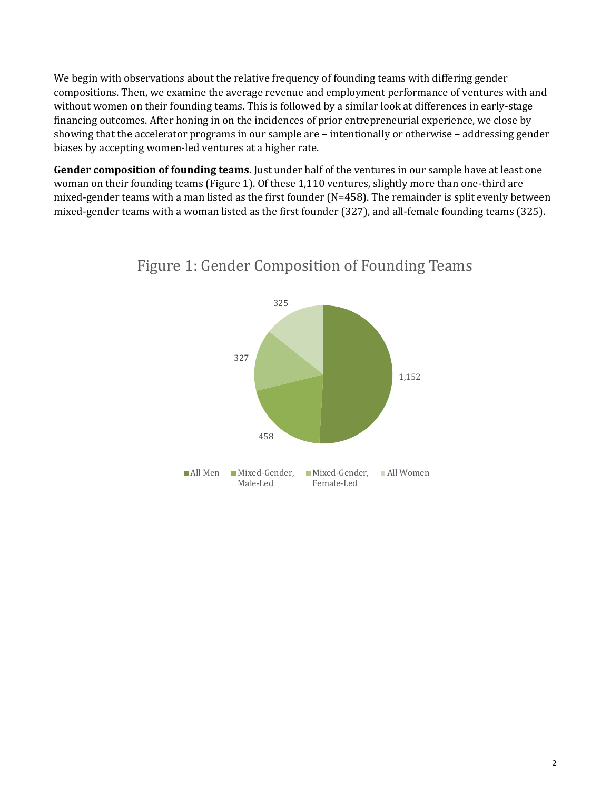We begin with observations about the relative frequency of founding teams with differing gender compositions. Then, we examine the average revenue and employment performance of ventures with and without women on their founding teams. This is followed by a similar look at differences in early-stage financing outcomes. After honing in on the incidences of prior entrepreneurial experience, we close by showing that the accelerator programs in our sample are – intentionally or otherwise – addressing gender biases by accepting women-led ventures at a higher rate.

**Gender composition of founding teams.** Just under half of the ventures in our sample have at least one woman on their founding teams (Figure 1). Of these 1,110 ventures, slightly more than one-third are mixed-gender teams with a man listed as the first founder (N=458). The remainder is split evenly between mixed-gender teams with a woman listed as the first founder (327), and all-female founding teams (325).



## Figure 1: Gender Composition of Founding Teams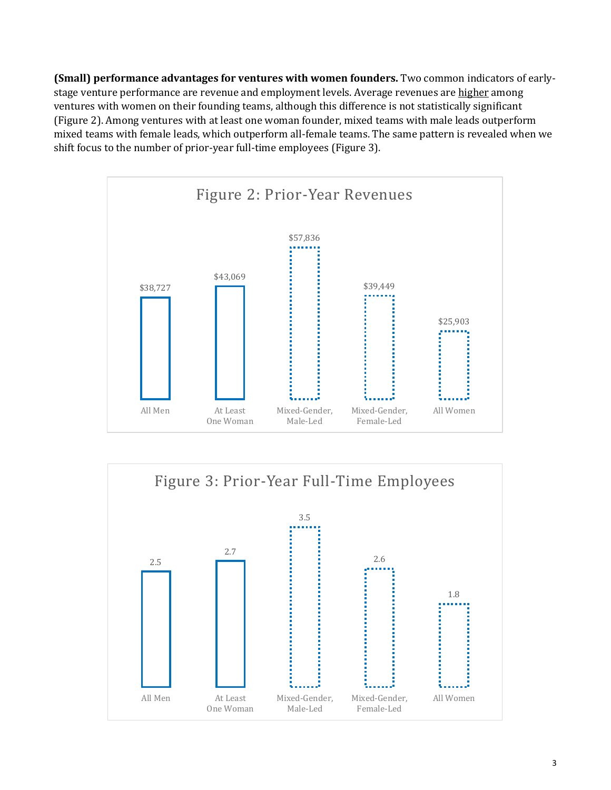**(Small) performance advantages for ventures with women founders.** Two common indicators of earlystage venture performance are revenue and employment levels. Average revenues are higher among ventures with women on their founding teams, although this difference is not statistically significant (Figure 2). Among ventures with at least one woman founder, mixed teams with male leads outperform mixed teams with female leads, which outperform all-female teams. The same pattern is revealed when we shift focus to the number of prior-year full-time employees (Figure 3).



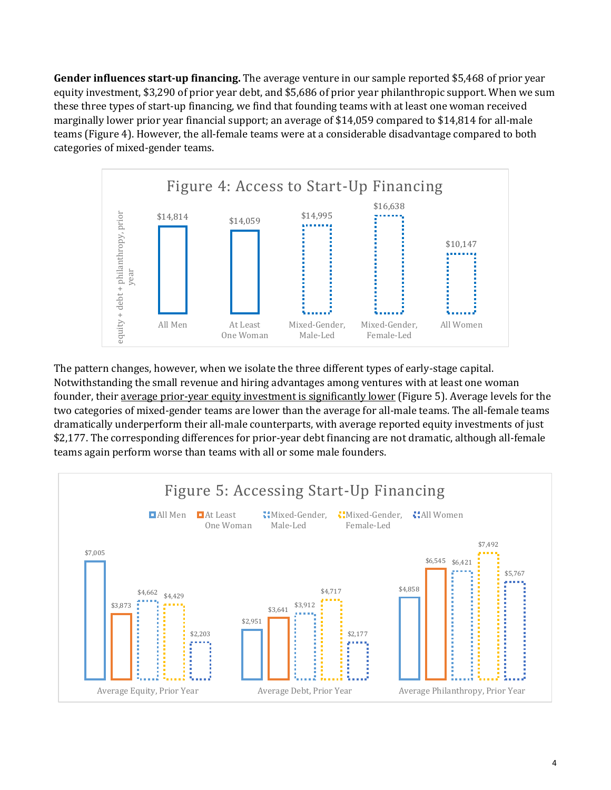**Gender influences start-up financing.** The average venture in our sample reported \$5,468 of prior year equity investment, \$3,290 of prior year debt, and \$5,686 of prior year philanthropic support. When we sum these three types of start-up financing, we find that founding teams with at least one woman received marginally lower prior year financial support; an average of \$14,059 compared to \$14,814 for all-male teams (Figure 4). However, the all-female teams were at a considerable disadvantage compared to both categories of mixed-gender teams.



The pattern changes, however, when we isolate the three different types of early-stage capital. Notwithstanding the small revenue and hiring advantages among ventures with at least one woman founder, their average prior-year equity investment is significantly lower (Figure 5). Average levels for the two categories of mixed-gender teams are lower than the average for all-male teams. The all-female teams dramatically underperform their all-male counterparts, with average reported equity investments of just \$2,177. The corresponding differences for prior-year debt financing are not dramatic, although all-female teams again perform worse than teams with all or some male founders.

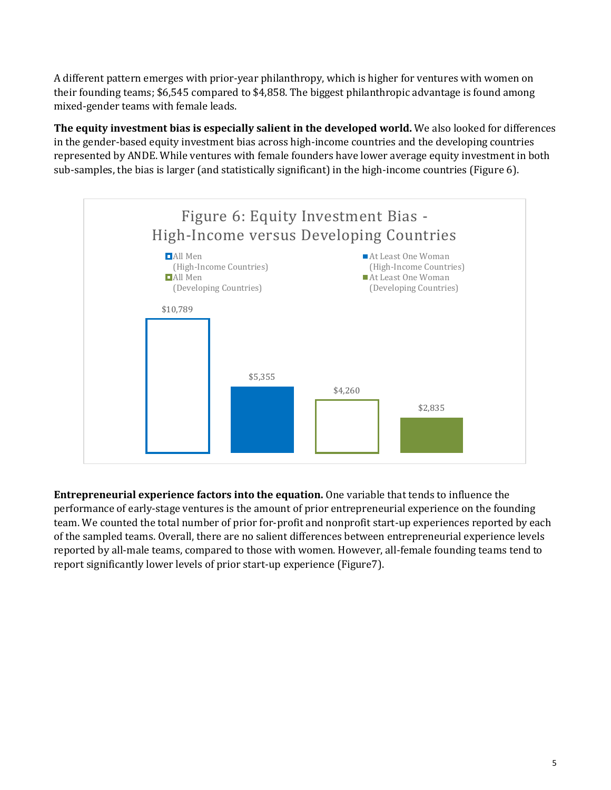A different pattern emerges with prior-year philanthropy, which is higher for ventures with women on their founding teams; \$6,545 compared to \$4,858. The biggest philanthropic advantage is found among mixed-gender teams with female leads.

**The equity investment bias is especially salient in the developed world.** We also looked for differences in the gender-based equity investment bias across high-income countries and the developing countries represented by ANDE. While ventures with female founders have lower average equity investment in both sub-samples, the bias is larger (and statistically significant) in the high-income countries (Figure 6).



**Entrepreneurial experience factors into the equation.** One variable that tends to influence the performance of early-stage ventures is the amount of prior entrepreneurial experience on the founding team. We counted the total number of prior for-profit and nonprofit start-up experiences reported by each of the sampled teams. Overall, there are no salient differences between entrepreneurial experience levels reported by all-male teams, compared to those with women. However, all-female founding teams tend to report significantly lower levels of prior start-up experience (Figure7).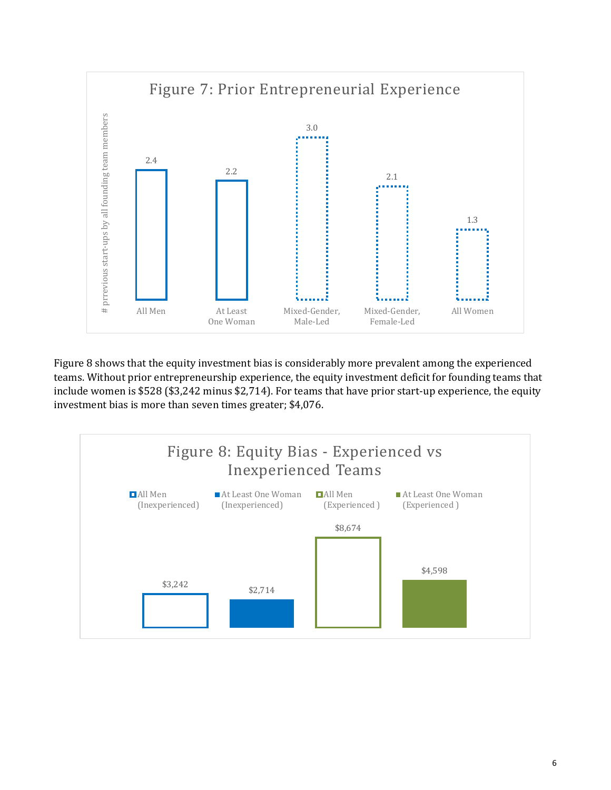

Figure 8 shows that the equity investment bias is considerably more prevalent among the experienced teams. Without prior entrepreneurship experience, the equity investment deficit for founding teams that include women is \$528 (\$3,242 minus \$2,714). For teams that have prior start-up experience, the equity investment bias is more than seven times greater; \$4,076.